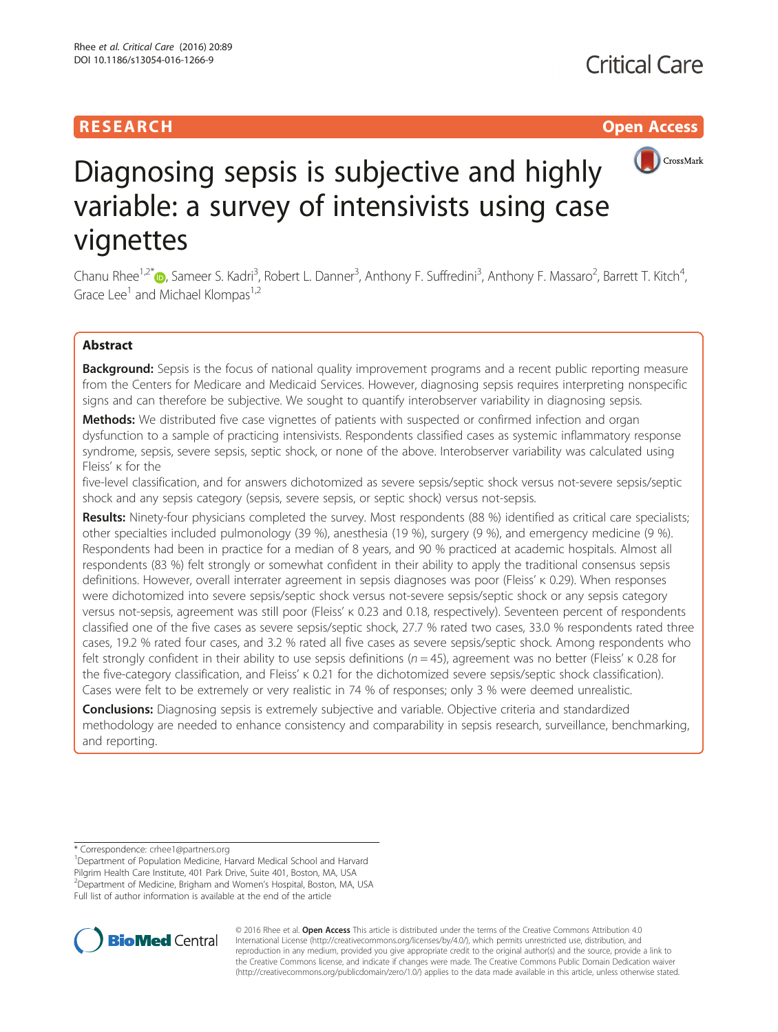## **RESEARCH CHILD CONTROL** CONTROL CONTROL CONTROL CONTROL CONTROL CONTROL CONTROL CONTROL CONTROL CONTROL CONTROL CONTROL CONTROL CONTROL CONTROL CONTROL CONTROL CONTROL CONTROL CONTROL CONTROL CONTROL CONTROL CONTROL CONTR



# Diagnosing sepsis is subjective and highly variable: a survey of intensivists using case vignettes

Chanu Rhee<sup>1,2[\\*](http://orcid.org/0000-0002-9537-4245)</sup> <sub>(b</sub>, Sameer S. Kadri<sup>3</sup>, Robert L. Danner<sup>3</sup>, Anthony F. Suffredini<sup>3</sup>, Anthony F. Massaro<sup>2</sup>, Barrett T. Kitch<sup>4</sup> , Grace Lee<sup>1</sup> and Michael Klompas<sup>1,2</sup>

### Abstract

Background: Sepsis is the focus of national quality improvement programs and a recent public reporting measure from the Centers for Medicare and Medicaid Services. However, diagnosing sepsis requires interpreting nonspecific signs and can therefore be subjective. We sought to quantify interobserver variability in diagnosing sepsis.

Methods: We distributed five case vignettes of patients with suspected or confirmed infection and organ dysfunction to a sample of practicing intensivists. Respondents classified cases as systemic inflammatory response syndrome, sepsis, severe sepsis, septic shock, or none of the above. Interobserver variability was calculated using Fleiss' κ for the

five-level classification, and for answers dichotomized as severe sepsis/septic shock versus not-severe sepsis/septic shock and any sepsis category (sepsis, severe sepsis, or septic shock) versus not-sepsis.

Results: Ninety-four physicians completed the survey. Most respondents (88 %) identified as critical care specialists; other specialties included pulmonology (39 %), anesthesia (19 %), surgery (9 %), and emergency medicine (9 %). Respondents had been in practice for a median of 8 years, and 90 % practiced at academic hospitals. Almost all respondents (83 %) felt strongly or somewhat confident in their ability to apply the traditional consensus sepsis definitions. However, overall interrater agreement in sepsis diagnoses was poor (Fleiss' κ 0.29). When responses were dichotomized into severe sepsis/septic shock versus not-severe sepsis/septic shock or any sepsis category versus not-sepsis, agreement was still poor (Fleiss' κ 0.23 and 0.18, respectively). Seventeen percent of respondents classified one of the five cases as severe sepsis/septic shock, 27.7 % rated two cases, 33.0 % respondents rated three cases, 19.2 % rated four cases, and 3.2 % rated all five cases as severe sepsis/septic shock. Among respondents who felt strongly confident in their ability to use sepsis definitions ( $n = 45$ ), agreement was no better (Fleiss' κ 0.28 for the five-category classification, and Fleiss' κ 0.21 for the dichotomized severe sepsis/septic shock classification). Cases were felt to be extremely or very realistic in 74 % of responses; only 3 % were deemed unrealistic.

**Conclusions:** Diagnosing sepsis is extremely subjective and variable. Objective criteria and standardized methodology are needed to enhance consistency and comparability in sepsis research, surveillance, benchmarking, and reporting.

\* Correspondence: [crhee1@partners.org](mailto:crhee1@partners.org) <sup>1</sup>

<sup>1</sup>Department of Population Medicine, Harvard Medical School and Harvard Pilgrim Health Care Institute, 401 Park Drive, Suite 401, Boston, MA, USA 2 Department of Medicine, Brigham and Women's Hospital, Boston, MA, USA Full list of author information is available at the end of the article



© 2016 Rhee et al. Open Access This article is distributed under the terms of the Creative Commons Attribution 4.0 International License [\(http://creativecommons.org/licenses/by/4.0/](http://creativecommons.org/licenses/by/4.0/)), which permits unrestricted use, distribution, and reproduction in any medium, provided you give appropriate credit to the original author(s) and the source, provide a link to the Creative Commons license, and indicate if changes were made. The Creative Commons Public Domain Dedication waiver [\(http://creativecommons.org/publicdomain/zero/1.0/](http://creativecommons.org/publicdomain/zero/1.0/)) applies to the data made available in this article, unless otherwise stated.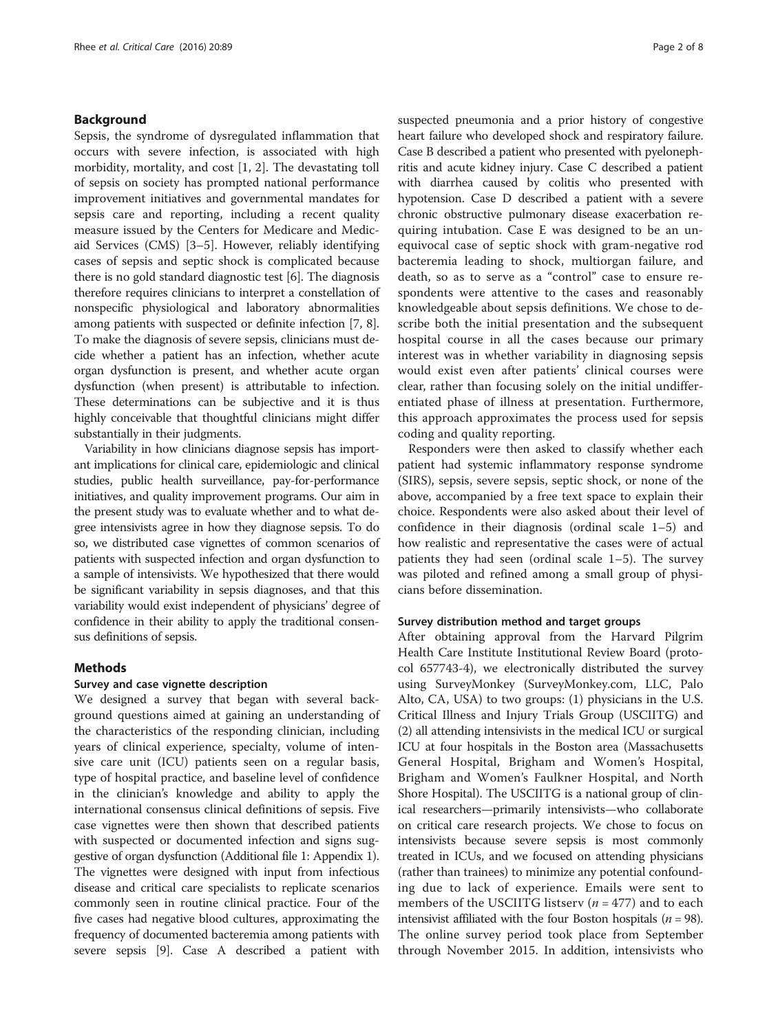#### Background

Sepsis, the syndrome of dysregulated inflammation that occurs with severe infection, is associated with high morbidity, mortality, and cost [\[1](#page-7-0), [2](#page-7-0)]. The devastating toll of sepsis on society has prompted national performance improvement initiatives and governmental mandates for sepsis care and reporting, including a recent quality measure issued by the Centers for Medicare and Medicaid Services (CMS) [\[3](#page-7-0)–[5](#page-7-0)]. However, reliably identifying cases of sepsis and septic shock is complicated because there is no gold standard diagnostic test [\[6](#page-7-0)]. The diagnosis therefore requires clinicians to interpret a constellation of nonspecific physiological and laboratory abnormalities among patients with suspected or definite infection [[7](#page-7-0), [8](#page-7-0)]. To make the diagnosis of severe sepsis, clinicians must decide whether a patient has an infection, whether acute organ dysfunction is present, and whether acute organ dysfunction (when present) is attributable to infection. These determinations can be subjective and it is thus highly conceivable that thoughtful clinicians might differ substantially in their judgments.

Variability in how clinicians diagnose sepsis has important implications for clinical care, epidemiologic and clinical studies, public health surveillance, pay-for-performance initiatives, and quality improvement programs. Our aim in the present study was to evaluate whether and to what degree intensivists agree in how they diagnose sepsis. To do so, we distributed case vignettes of common scenarios of patients with suspected infection and organ dysfunction to a sample of intensivists. We hypothesized that there would be significant variability in sepsis diagnoses, and that this variability would exist independent of physicians' degree of confidence in their ability to apply the traditional consensus definitions of sepsis.

#### Methods

#### Survey and case vignette description

We designed a survey that began with several background questions aimed at gaining an understanding of the characteristics of the responding clinician, including years of clinical experience, specialty, volume of intensive care unit (ICU) patients seen on a regular basis, type of hospital practice, and baseline level of confidence in the clinician's knowledge and ability to apply the international consensus clinical definitions of sepsis. Five case vignettes were then shown that described patients with suspected or documented infection and signs suggestive of organ dysfunction (Additional file [1:](#page-7-0) Appendix 1). The vignettes were designed with input from infectious disease and critical care specialists to replicate scenarios commonly seen in routine clinical practice. Four of the five cases had negative blood cultures, approximating the frequency of documented bacteremia among patients with severe sepsis [\[9](#page-7-0)]. Case A described a patient with

suspected pneumonia and a prior history of congestive heart failure who developed shock and respiratory failure. Case B described a patient who presented with pyelonephritis and acute kidney injury. Case C described a patient with diarrhea caused by colitis who presented with hypotension. Case D described a patient with a severe chronic obstructive pulmonary disease exacerbation requiring intubation. Case E was designed to be an unequivocal case of septic shock with gram-negative rod bacteremia leading to shock, multiorgan failure, and death, so as to serve as a "control" case to ensure respondents were attentive to the cases and reasonably knowledgeable about sepsis definitions. We chose to describe both the initial presentation and the subsequent hospital course in all the cases because our primary interest was in whether variability in diagnosing sepsis would exist even after patients' clinical courses were clear, rather than focusing solely on the initial undifferentiated phase of illness at presentation. Furthermore, this approach approximates the process used for sepsis coding and quality reporting.

Responders were then asked to classify whether each patient had systemic inflammatory response syndrome (SIRS), sepsis, severe sepsis, septic shock, or none of the above, accompanied by a free text space to explain their choice. Respondents were also asked about their level of confidence in their diagnosis (ordinal scale 1–5) and how realistic and representative the cases were of actual patients they had seen (ordinal scale 1–5). The survey was piloted and refined among a small group of physicians before dissemination.

#### Survey distribution method and target groups

After obtaining approval from the Harvard Pilgrim Health Care Institute Institutional Review Board (protocol 657743-4), we electronically distributed the survey using SurveyMonkey (SurveyMonkey.com, LLC, Palo Alto, CA, USA) to two groups: (1) physicians in the U.S. Critical Illness and Injury Trials Group (USCIITG) and (2) all attending intensivists in the medical ICU or surgical ICU at four hospitals in the Boston area (Massachusetts General Hospital, Brigham and Women's Hospital, Brigham and Women's Faulkner Hospital, and North Shore Hospital). The USCIITG is a national group of clinical researchers—primarily intensivists—who collaborate on critical care research projects. We chose to focus on intensivists because severe sepsis is most commonly treated in ICUs, and we focused on attending physicians (rather than trainees) to minimize any potential confounding due to lack of experience. Emails were sent to members of the USCIITG listserv ( $n = 477$ ) and to each intensivist affiliated with the four Boston hospitals ( $n = 98$ ). The online survey period took place from September through November 2015. In addition, intensivists who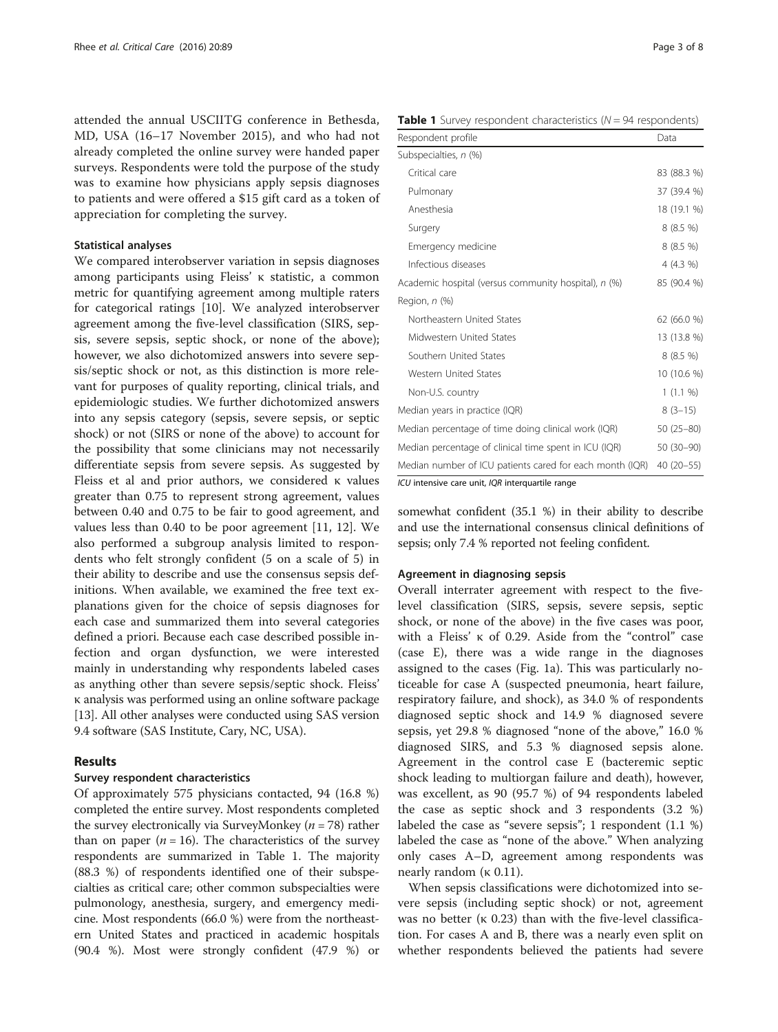attended the annual USCIITG conference in Bethesda, MD, USA (16–17 November 2015), and who had not already completed the online survey were handed paper surveys. Respondents were told the purpose of the study was to examine how physicians apply sepsis diagnoses to patients and were offered a \$15 gift card as a token of appreciation for completing the survey.

#### Statistical analyses

We compared interobserver variation in sepsis diagnoses among participants using Fleiss' κ statistic, a common metric for quantifying agreement among multiple raters for categorical ratings [\[10](#page-7-0)]. We analyzed interobserver agreement among the five-level classification (SIRS, sepsis, severe sepsis, septic shock, or none of the above); however, we also dichotomized answers into severe sepsis/septic shock or not, as this distinction is more relevant for purposes of quality reporting, clinical trials, and epidemiologic studies. We further dichotomized answers into any sepsis category (sepsis, severe sepsis, or septic shock) or not (SIRS or none of the above) to account for the possibility that some clinicians may not necessarily differentiate sepsis from severe sepsis. As suggested by Fleiss et al and prior authors, we considered κ values greater than 0.75 to represent strong agreement, values between 0.40 and 0.75 to be fair to good agreement, and values less than 0.40 to be poor agreement [\[11, 12](#page-7-0)]. We also performed a subgroup analysis limited to respondents who felt strongly confident (5 on a scale of 5) in their ability to describe and use the consensus sepsis definitions. When available, we examined the free text explanations given for the choice of sepsis diagnoses for each case and summarized them into several categories defined a priori. Because each case described possible infection and organ dysfunction, we were interested mainly in understanding why respondents labeled cases as anything other than severe sepsis/septic shock. Fleiss' κ analysis was performed using an online software package [[13](#page-7-0)]. All other analyses were conducted using SAS version 9.4 software (SAS Institute, Cary, NC, USA).

#### Results

#### Survey respondent characteristics

Of approximately 575 physicians contacted, 94 (16.8 %) completed the entire survey. Most respondents completed the survey electronically via SurveyMonkey ( $n = 78$ ) rather than on paper ( $n = 16$ ). The characteristics of the survey respondents are summarized in Table 1. The majority (88.3 %) of respondents identified one of their subspecialties as critical care; other common subspecialties were pulmonology, anesthesia, surgery, and emergency medicine. Most respondents (66.0 %) were from the northeastern United States and practiced in academic hospitals (90.4 %). Most were strongly confident (47.9 %) or

**Table 1** Survey respondent characteristics ( $N = 94$  respondents)

| Respondent profile                                       | Data        |
|----------------------------------------------------------|-------------|
| Subspecialties, n (%)                                    |             |
| Critical care                                            | 83 (88.3 %) |
| Pulmonary                                                | 37 (39.4 %) |
| Anesthesia                                               | 18 (19.1 %) |
| Surgery                                                  | 8 (8.5 %)   |
| Emergency medicine                                       | 8(8.5%)     |
| Infectious diseases                                      | 4(4.3%)     |
| Academic hospital (versus community hospital), n (%)     | 85 (90.4 %) |
| Region, <i>n</i> (%)                                     |             |
| Northeastern United States                               | 62 (66.0 %) |
| Midwestern United States                                 | 13 (13.8 %) |
| Southern United States                                   | 8(8.5%)     |
| <b>Western United States</b>                             | 10 (10.6 %) |
| Non-U.S. country                                         | $1(1.1\%)$  |
| Median years in practice (IQR)                           | $8(3-15)$   |
| Median percentage of time doing clinical work (IQR)      | $50(25-80)$ |
| Median percentage of clinical time spent in ICU (IQR)    | $50(30-90)$ |
| Median number of ICU patients cared for each month (IQR) | $40(20-55)$ |

ICU intensive care unit, IQR interquartile range

somewhat confident (35.1 %) in their ability to describe and use the international consensus clinical definitions of sepsis; only 7.4 % reported not feeling confident.

#### Agreement in diagnosing sepsis

Overall interrater agreement with respect to the fivelevel classification (SIRS, sepsis, severe sepsis, septic shock, or none of the above) in the five cases was poor, with a Fleiss' κ of 0.29. Aside from the "control" case (case E), there was a wide range in the diagnoses assigned to the cases (Fig. [1a\)](#page-3-0). This was particularly noticeable for case A (suspected pneumonia, heart failure, respiratory failure, and shock), as 34.0 % of respondents diagnosed septic shock and 14.9 % diagnosed severe sepsis, yet 29.8 % diagnosed "none of the above," 16.0 % diagnosed SIRS, and 5.3 % diagnosed sepsis alone. Agreement in the control case E (bacteremic septic shock leading to multiorgan failure and death), however, was excellent, as 90 (95.7 %) of 94 respondents labeled the case as septic shock and 3 respondents (3.2 %) labeled the case as "severe sepsis"; 1 respondent (1.1 %) labeled the case as "none of the above." When analyzing only cases A–D, agreement among respondents was nearly random ( $κ$  0.11).

When sepsis classifications were dichotomized into severe sepsis (including septic shock) or not, agreement was no better (κ 0.23) than with the five-level classification. For cases A and B, there was a nearly even split on whether respondents believed the patients had severe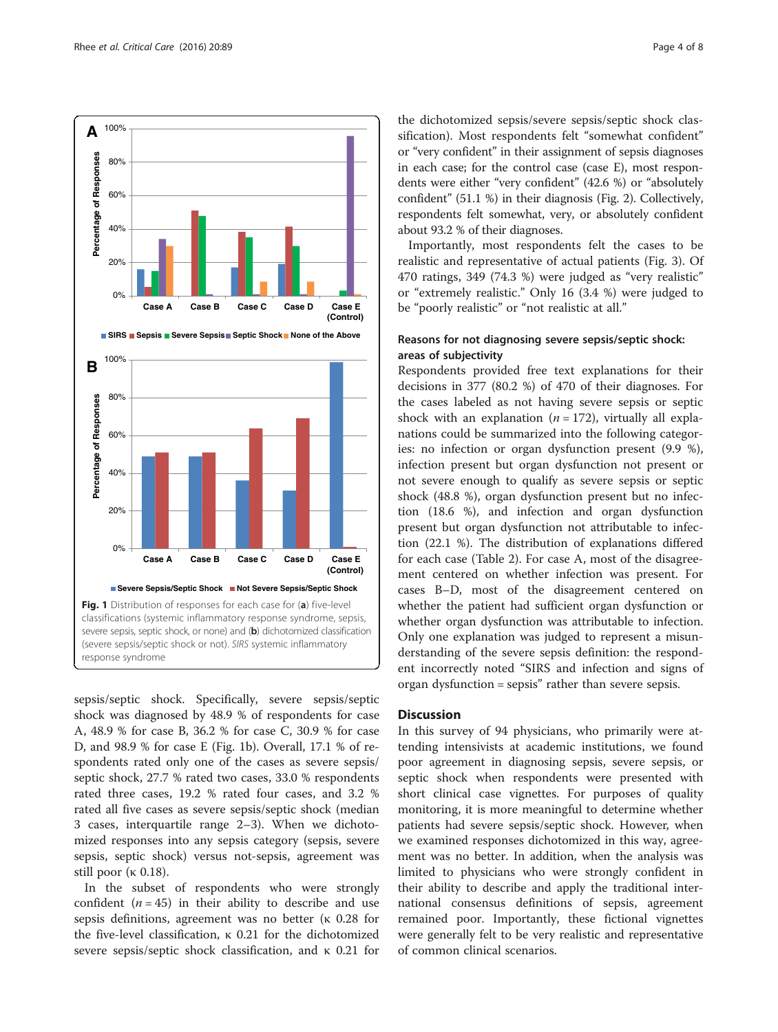<span id="page-3-0"></span>

sepsis/septic shock. Specifically, severe sepsis/septic shock was diagnosed by 48.9 % of respondents for case A, 48.9 % for case B, 36.2 % for case C, 30.9 % for case D, and 98.9 % for case E (Fig. 1b). Overall, 17.1 % of respondents rated only one of the cases as severe sepsis/ septic shock, 27.7 % rated two cases, 33.0 % respondents rated three cases, 19.2 % rated four cases, and 3.2 % rated all five cases as severe sepsis/septic shock (median 3 cases, interquartile range 2–3). When we dichotomized responses into any sepsis category (sepsis, severe sepsis, septic shock) versus not-sepsis, agreement was still poor (κ 0.18).

In the subset of respondents who were strongly confident ( $n = 45$ ) in their ability to describe and use sepsis definitions, agreement was no better (κ 0.28 for the five-level classification, κ 0.21 for the dichotomized severe sepsis/septic shock classification, and κ 0.21 for

the dichotomized sepsis/severe sepsis/septic shock classification). Most respondents felt "somewhat confident" or "very confident" in their assignment of sepsis diagnoses in each case; for the control case (case E), most respondents were either "very confident" (42.6 %) or "absolutely confident" (51.1 %) in their diagnosis (Fig. [2](#page-4-0)). Collectively, respondents felt somewhat, very, or absolutely confident about 93.2 % of their diagnoses.

Importantly, most respondents felt the cases to be realistic and representative of actual patients (Fig. [3](#page-4-0)). Of 470 ratings, 349 (74.3 %) were judged as "very realistic" or "extremely realistic." Only 16 (3.4 %) were judged to be "poorly realistic" or "not realistic at all."

#### Reasons for not diagnosing severe sepsis/septic shock: areas of subjectivity

Respondents provided free text explanations for their decisions in 377 (80.2 %) of 470 of their diagnoses. For the cases labeled as not having severe sepsis or septic shock with an explanation  $(n = 172)$ , virtually all explanations could be summarized into the following categories: no infection or organ dysfunction present (9.9 %), infection present but organ dysfunction not present or not severe enough to qualify as severe sepsis or septic shock (48.8 %), organ dysfunction present but no infection (18.6 %), and infection and organ dysfunction present but organ dysfunction not attributable to infection (22.1 %). The distribution of explanations differed for each case (Table [2](#page-5-0)). For case A, most of the disagreement centered on whether infection was present. For cases B–D, most of the disagreement centered on whether the patient had sufficient organ dysfunction or whether organ dysfunction was attributable to infection. Only one explanation was judged to represent a misunderstanding of the severe sepsis definition: the respondent incorrectly noted "SIRS and infection and signs of organ dysfunction = sepsis" rather than severe sepsis.

#### **Discussion**

In this survey of 94 physicians, who primarily were attending intensivists at academic institutions, we found poor agreement in diagnosing sepsis, severe sepsis, or septic shock when respondents were presented with short clinical case vignettes. For purposes of quality monitoring, it is more meaningful to determine whether patients had severe sepsis/septic shock. However, when we examined responses dichotomized in this way, agreement was no better. In addition, when the analysis was limited to physicians who were strongly confident in their ability to describe and apply the traditional international consensus definitions of sepsis, agreement remained poor. Importantly, these fictional vignettes were generally felt to be very realistic and representative of common clinical scenarios.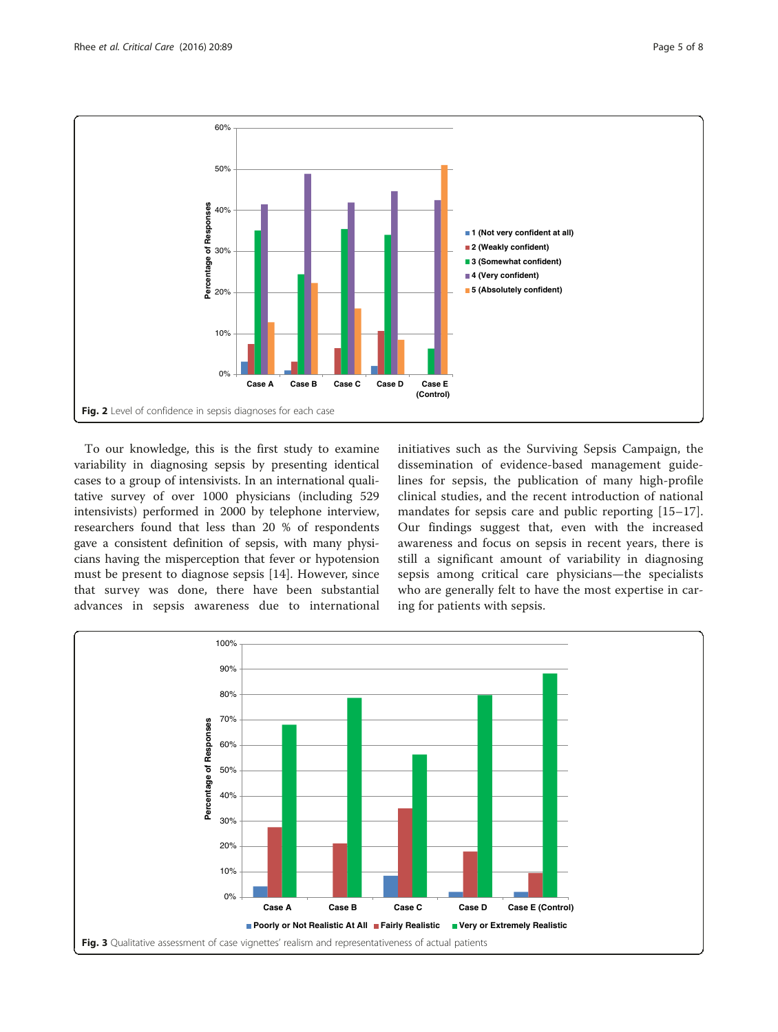<span id="page-4-0"></span>

To our knowledge, this is the first study to examine variability in diagnosing sepsis by presenting identical cases to a group of intensivists. In an international qualitative survey of over 1000 physicians (including 529 intensivists) performed in 2000 by telephone interview, researchers found that less than 20 % of respondents gave a consistent definition of sepsis, with many physicians having the misperception that fever or hypotension must be present to diagnose sepsis [[14\]](#page-7-0). However, since that survey was done, there have been substantial advances in sepsis awareness due to international initiatives such as the Surviving Sepsis Campaign, the dissemination of evidence-based management guidelines for sepsis, the publication of many high-profile clinical studies, and the recent introduction of national mandates for sepsis care and public reporting [\[15](#page-7-0)–[17](#page-7-0)]. Our findings suggest that, even with the increased awareness and focus on sepsis in recent years, there is still a significant amount of variability in diagnosing sepsis among critical care physicians—the specialists who are generally felt to have the most expertise in caring for patients with sepsis.

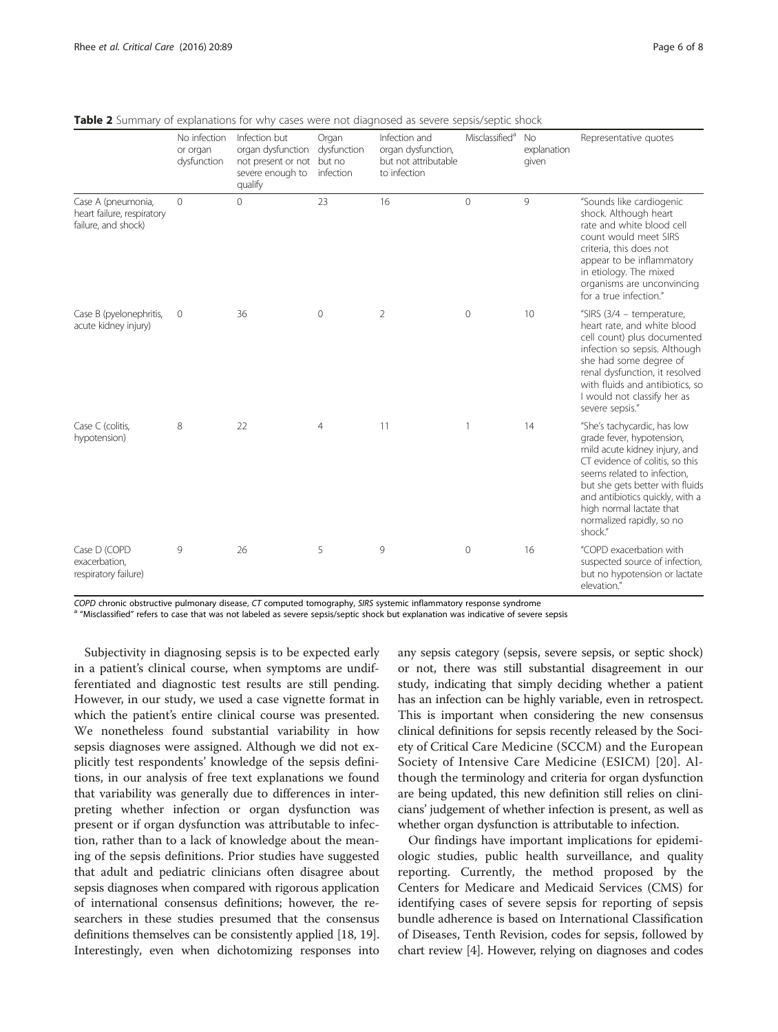|                                                                         | No infection<br>or organ<br>dysfunction | Infection but<br>organ dysfunction<br>not present or not<br>severe enough to<br>qualify | Organ<br>dysfunction<br>but no<br>infection | Infection and<br>organ dysfunction,<br>but not attributable<br>to infection | Misclassified <sup>a</sup> | <b>No</b><br>explanation<br>given | Representative quotes                                                                                                                                                                                                                                                                                 |
|-------------------------------------------------------------------------|-----------------------------------------|-----------------------------------------------------------------------------------------|---------------------------------------------|-----------------------------------------------------------------------------|----------------------------|-----------------------------------|-------------------------------------------------------------------------------------------------------------------------------------------------------------------------------------------------------------------------------------------------------------------------------------------------------|
| Case A (pneumonia,<br>heart failure, respiratory<br>failure, and shock) | $\circ$                                 | $\Omega$                                                                                | 23                                          | 16                                                                          | $\mathbf 0$                | 9                                 | "Sounds like cardiogenic<br>shock. Although heart<br>rate and white blood cell<br>count would meet SIRS<br>criteria, this does not<br>appear to be inflammatory<br>in etiology. The mixed<br>organisms are unconvincing<br>for a true infection."                                                     |
| Case B (pyelonephritis,<br>acute kidney injury)                         | $\overline{0}$                          | 36                                                                                      | $\overline{0}$                              | $\overline{2}$                                                              | $\mathbf{0}$               | 10                                | "SIRS $(3/4 -$ temperature,<br>heart rate, and white blood<br>cell count) plus documented<br>infection so sepsis. Although<br>she had some degree of<br>renal dysfunction, it resolved<br>with fluids and antibiotics, so<br>I would not classify her as<br>severe sepsis."                           |
| Case C (colitis,<br>hypotension)                                        | 8                                       | 22                                                                                      | $\overline{4}$                              | 11                                                                          | $\mathbf{1}$               | 14                                | "She's tachycardic, has low<br>grade fever, hypotension,<br>mild acute kidney injury, and<br>CT evidence of colitis, so this<br>seems related to infection,<br>but she gets better with fluids<br>and antibiotics quickly, with a<br>high normal lactate that<br>normalized rapidly, so no<br>shock." |
| Case D (COPD<br>exacerbation,<br>respiratory failure)                   | 9                                       | 26                                                                                      | 5                                           | 9                                                                           | $\mathbf 0$                | 16                                | "COPD exacerbation with<br>suspected source of infection,<br>but no hypotension or lactate<br>elevation."                                                                                                                                                                                             |

<span id="page-5-0"></span>Table 2 Summary of explanations for why cases were not diagnosed as severe sepsis/septic shock

COPD chronic obstructive pulmonary disease, CT computed tomography, SIRS systemic inflammatory response syndrome<br><sup>a</sup> "Misclassified" refers to case that was not labeled as severe sepsis/septic shock but explanation was ind

Subjectivity in diagnosing sepsis is to be expected early in a patient's clinical course, when symptoms are undifferentiated and diagnostic test results are still pending. However, in our study, we used a case vignette format in which the patient's entire clinical course was presented. We nonetheless found substantial variability in how sepsis diagnoses were assigned. Although we did not explicitly test respondents' knowledge of the sepsis definitions, in our analysis of free text explanations we found that variability was generally due to differences in interpreting whether infection or organ dysfunction was present or if organ dysfunction was attributable to infection, rather than to a lack of knowledge about the meaning of the sepsis definitions. Prior studies have suggested that adult and pediatric clinicians often disagree about sepsis diagnoses when compared with rigorous application of international consensus definitions; however, the researchers in these studies presumed that the consensus definitions themselves can be consistently applied [\[18, 19](#page-7-0)]. Interestingly, even when dichotomizing responses into

any sepsis category (sepsis, severe sepsis, or septic shock) or not, there was still substantial disagreement in our study, indicating that simply deciding whether a patient has an infection can be highly variable, even in retrospect. This is important when considering the new consensus clinical definitions for sepsis recently released by the Society of Critical Care Medicine (SCCM) and the European Society of Intensive Care Medicine (ESICM) [\[20\]](#page-7-0). Although the terminology and criteria for organ dysfunction are being updated, this new definition still relies on clinicians' judgement of whether infection is present, as well as whether organ dysfunction is attributable to infection.

Our findings have important implications for epidemiologic studies, public health surveillance, and quality reporting. Currently, the method proposed by the Centers for Medicare and Medicaid Services (CMS) for identifying cases of severe sepsis for reporting of sepsis bundle adherence is based on International Classification of Diseases, Tenth Revision, codes for sepsis, followed by chart review [\[4](#page-7-0)]. However, relying on diagnoses and codes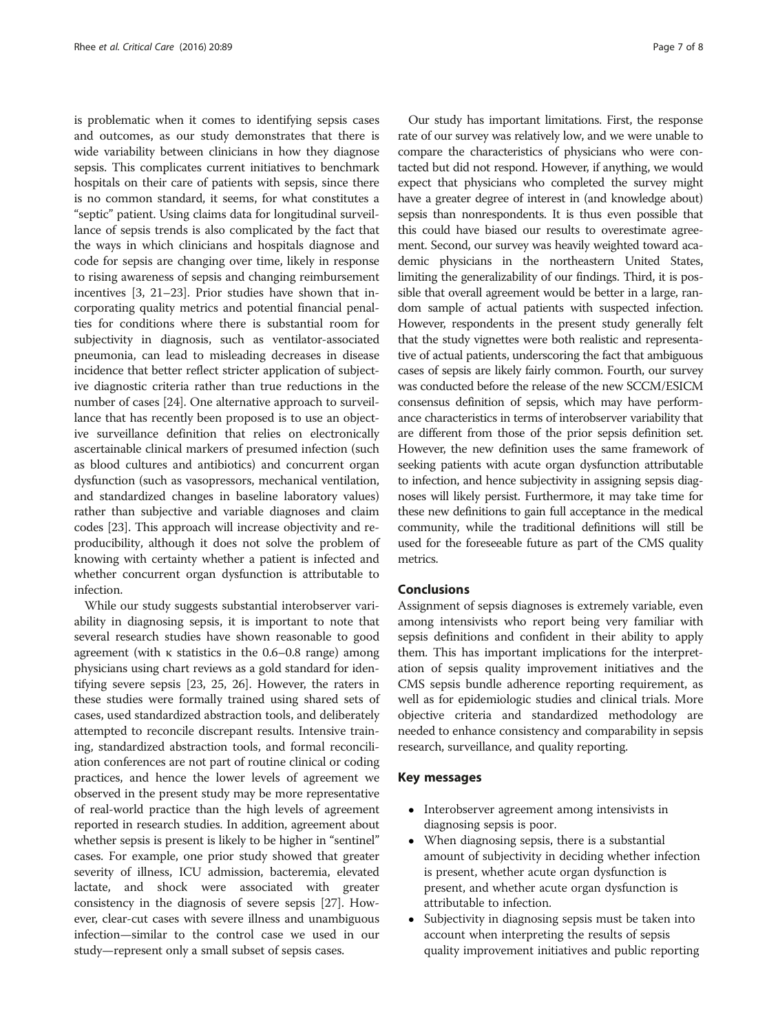is problematic when it comes to identifying sepsis cases and outcomes, as our study demonstrates that there is wide variability between clinicians in how they diagnose sepsis. This complicates current initiatives to benchmark hospitals on their care of patients with sepsis, since there is no common standard, it seems, for what constitutes a "septic" patient. Using claims data for longitudinal surveillance of sepsis trends is also complicated by the fact that the ways in which clinicians and hospitals diagnose and code for sepsis are changing over time, likely in response to rising awareness of sepsis and changing reimbursement incentives [[3, 21](#page-7-0)–[23](#page-7-0)]. Prior studies have shown that incorporating quality metrics and potential financial penalties for conditions where there is substantial room for subjectivity in diagnosis, such as ventilator-associated pneumonia, can lead to misleading decreases in disease incidence that better reflect stricter application of subjective diagnostic criteria rather than true reductions in the number of cases [[24](#page-7-0)]. One alternative approach to surveillance that has recently been proposed is to use an objective surveillance definition that relies on electronically ascertainable clinical markers of presumed infection (such as blood cultures and antibiotics) and concurrent organ dysfunction (such as vasopressors, mechanical ventilation, and standardized changes in baseline laboratory values) rather than subjective and variable diagnoses and claim codes [\[23](#page-7-0)]. This approach will increase objectivity and reproducibility, although it does not solve the problem of knowing with certainty whether a patient is infected and whether concurrent organ dysfunction is attributable to infection.

While our study suggests substantial interobserver variability in diagnosing sepsis, it is important to note that several research studies have shown reasonable to good agreement (with κ statistics in the 0.6–0.8 range) among physicians using chart reviews as a gold standard for identifying severe sepsis [[23](#page-7-0), [25](#page-7-0), [26](#page-7-0)]. However, the raters in these studies were formally trained using shared sets of cases, used standardized abstraction tools, and deliberately attempted to reconcile discrepant results. Intensive training, standardized abstraction tools, and formal reconciliation conferences are not part of routine clinical or coding practices, and hence the lower levels of agreement we observed in the present study may be more representative of real-world practice than the high levels of agreement reported in research studies. In addition, agreement about whether sepsis is present is likely to be higher in "sentinel" cases. For example, one prior study showed that greater severity of illness, ICU admission, bacteremia, elevated lactate, and shock were associated with greater consistency in the diagnosis of severe sepsis [[27](#page-7-0)]. However, clear-cut cases with severe illness and unambiguous infection—similar to the control case we used in our study—represent only a small subset of sepsis cases.

Our study has important limitations. First, the response rate of our survey was relatively low, and we were unable to compare the characteristics of physicians who were contacted but did not respond. However, if anything, we would expect that physicians who completed the survey might have a greater degree of interest in (and knowledge about) sepsis than nonrespondents. It is thus even possible that this could have biased our results to overestimate agreement. Second, our survey was heavily weighted toward academic physicians in the northeastern United States, limiting the generalizability of our findings. Third, it is possible that overall agreement would be better in a large, random sample of actual patients with suspected infection. However, respondents in the present study generally felt that the study vignettes were both realistic and representative of actual patients, underscoring the fact that ambiguous cases of sepsis are likely fairly common. Fourth, our survey was conducted before the release of the new SCCM/ESICM consensus definition of sepsis, which may have performance characteristics in terms of interobserver variability that are different from those of the prior sepsis definition set. However, the new definition uses the same framework of seeking patients with acute organ dysfunction attributable to infection, and hence subjectivity in assigning sepsis diagnoses will likely persist. Furthermore, it may take time for these new definitions to gain full acceptance in the medical community, while the traditional definitions will still be used for the foreseeable future as part of the CMS quality metrics.

#### Conclusions

Assignment of sepsis diagnoses is extremely variable, even among intensivists who report being very familiar with sepsis definitions and confident in their ability to apply them. This has important implications for the interpretation of sepsis quality improvement initiatives and the CMS sepsis bundle adherence reporting requirement, as well as for epidemiologic studies and clinical trials. More objective criteria and standardized methodology are needed to enhance consistency and comparability in sepsis research, surveillance, and quality reporting.

#### Key messages

- Interobserver agreement among intensivists in diagnosing sepsis is poor.
- When diagnosing sepsis, there is a substantial amount of subjectivity in deciding whether infection is present, whether acute organ dysfunction is present, and whether acute organ dysfunction is attributable to infection.
- Subjectivity in diagnosing sepsis must be taken into account when interpreting the results of sepsis quality improvement initiatives and public reporting